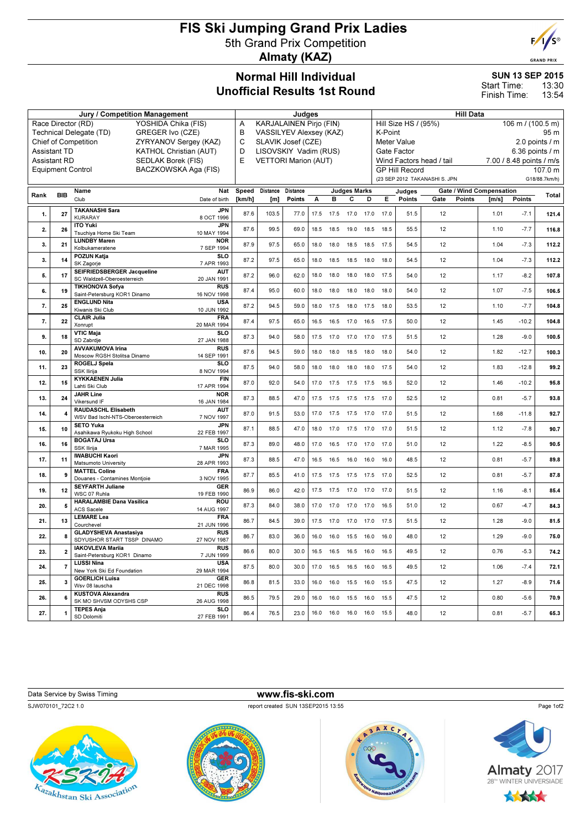## FIS Ski Jumping Grand Prix Ladies 5th Grand Prix Competition Almaty (KAZ)



| <b>Jury / Competition Management</b>                 |                                                  |                                                            |                           |        | Judges                              |          |      |      |                              |                | <b>Hill Data</b>                                     |        |      |        |                          |               |       |
|------------------------------------------------------|--------------------------------------------------|------------------------------------------------------------|---------------------------|--------|-------------------------------------|----------|------|------|------------------------------|----------------|------------------------------------------------------|--------|------|--------|--------------------------|---------------|-------|
| Race Director (RD)<br>YOSHIDA Chika (FIS)            |                                                  |                                                            |                           |        | <b>KARJALAINEN Pirjo (FIN)</b><br>A |          |      |      |                              |                | Hill Size HS / (95%)<br>$106 \text{ m}$ / (100.5 m)  |        |      |        |                          |               |       |
| GREGER Ivo (CZE)<br>Technical Delegate (TD)          |                                                  |                                                            |                           |        | B<br>VASSILYEV Alexsey (KAZ)        |          |      |      |                              |                | K-Point<br>95 m                                      |        |      |        |                          |               |       |
| <b>Chief of Competition</b><br>ZYRYANOV Sergey (KAZ) |                                                  |                                                            |                           |        | C<br>SLAVIK Josef (CZE)             |          |      |      |                              |                | <b>Meter Value</b><br>2.0 points / m                 |        |      |        |                          |               |       |
| <b>Assistant TD</b><br><b>KATHOL Christian (AUT)</b> |                                                  |                                                            |                           |        | D<br>LISOVSKIY Vadim (RUS)          |          |      |      |                              |                | Gate Factor<br>6.36 points $/$ m                     |        |      |        |                          |               |       |
|                                                      | <b>Assistant RD</b><br>SEDLAK Borek (FIS)        |                                                            |                           |        | E<br><b>VETTORI Marion (AUT)</b>    |          |      |      |                              |                | Wind Factors head / tail<br>7.00 / 8.48 points / m/s |        |      |        |                          |               |       |
|                                                      | BACZKOWSKA Aga (FIS)<br><b>Equipment Control</b> |                                                            |                           |        |                                     |          |      |      |                              |                | <b>GP Hill Record</b><br>107.0 m                     |        |      |        |                          |               |       |
|                                                      |                                                  |                                                            |                           |        |                                     |          |      |      |                              |                | (23 SEP 2012 TAKANASHI S. JPN<br>G18/88.7km/h)       |        |      |        |                          |               |       |
| Rank                                                 | <b>BIB</b>                                       | Name                                                       | Nat                       | Speed  | Distance                            | Distance |      |      | <b>Judges Marks</b>          |                |                                                      | Judges |      |        | Gate / Wind Compensation |               | Total |
|                                                      |                                                  | Club                                                       | Date of birth             | [km/h] | [ <sub>m</sub> ]                    | Points   | А    | в    | С                            | D              | Е.                                                   | Points | Gate | Points | [m/s]                    | <b>Points</b> |       |
| 1.                                                   | 27                                               | <b>TAKANASHI Sara</b><br><b>KURARAY</b>                    | <b>JPN</b><br>8 OCT 1996  | 87.6   | 103.5                               | 77.0     | 17.5 | 17.5 | 17.0 17.0                    |                | 17.0                                                 | 51.5   | 12   |        | 1.01                     | $-7.1$        | 121.4 |
|                                                      |                                                  | <b>ITO Yuki</b>                                            | <b>JPN</b>                |        |                                     |          |      |      |                              |                |                                                      |        |      |        |                          |               |       |
| 2.                                                   | 26                                               | Tsuchiva Home Ski Team                                     | 10 MAY 1994               | 87.6   | 99.5                                | 69.0     | 18.5 | 18.5 | 19.0                         | 18.5           | 18.5                                                 | 55.5   | 12   |        | 1.10                     | $-7.7$        | 116.8 |
| 3.                                                   | 21                                               | <b>LUNDBY Maren</b><br>Kolbukameratene                     | <b>NOR</b><br>7 SEP 1994  | 87.9   | 97.5                                | 65.0     | 18.0 | 18.0 |                              | 18.5 18.5 17.5 |                                                      | 54.5   | 12   |        | 1.04                     | $-7.3$        | 112.2 |
|                                                      |                                                  | <b>POZUN Katja</b>                                         | <b>SLO</b>                |        |                                     |          |      |      |                              |                |                                                      |        |      |        |                          |               |       |
| 3.                                                   | 14                                               | SK Zagorje                                                 | 7 APR 1993                | 87.2   | 97.5                                | 65.0     | 18.0 | 18.5 | 18.5                         | 18.0           | 18.0                                                 | 54.5   | 12   |        | 1.04                     | $-7.3$        | 112.2 |
| 5.                                                   | 17                                               | SEIFRIEDSBERGER Jacqueline                                 | <b>AUT</b>                | 87.2   | 96.0                                | 62.0     | 18.0 | 18.0 | 18.0                         | 18.0           | 17.5                                                 | 54.0   | 12   |        | 1.17                     | $-8.2$        | 107.8 |
|                                                      |                                                  | SC Waldzell-Oberoesterreich<br><b>TIKHONOVA Sofya</b>      | 20 JAN 1991<br><b>RUS</b> |        |                                     |          |      |      |                              |                |                                                      |        |      |        |                          |               |       |
| 6.                                                   | 19                                               | Saint-Petersburg KOR1 Dinamo                               | 16 NOV 1998               | 87.4   | 95.0                                | 60.0     | 18.0 | 18.0 | 18.0                         | 18.0           | 18.0                                                 | 54.0   | 12   |        | 1.07                     | $-7.5$        | 106.5 |
| 7.                                                   | 25                                               | <b>ENGLUND Nita</b>                                        | <b>USA</b>                | 87.2   | 94.5                                | 59.0     | 18.0 | 17.5 | 18.0                         | 17.5           | 18.0                                                 | 53.5   | 12   |        | 1.10                     | $-7.7$        | 104.8 |
|                                                      |                                                  | Kiwanis Ski Club<br><b>CLAIR Julia</b>                     | 10 JUN 1992<br><b>FRA</b> |        |                                     |          |      |      |                              |                |                                                      |        |      |        |                          |               |       |
| 7.                                                   | 22                                               | Xonrupt                                                    | 20 MAR 1994               | 87.4   | 97.5                                | 65.0     | 16.5 | 16.5 | 17.0 16.5 17.5               |                |                                                      | 50.0   | 12   |        | 1.45                     | $-10.2$       | 104.8 |
| 9.                                                   | 18                                               | <b>VTIC Maja</b>                                           | <b>SLO</b>                | 87.3   | 94.0                                | 58.0     | 17.5 | 17.0 | 17.0 17.0                    |                | 17.5                                                 | 51.5   | 12   |        | 1.28                     | $-9.0$        | 100.5 |
|                                                      |                                                  | SD Zabrdje<br><b>AVVAKUMOVA Irina</b>                      | 27 JAN 1988<br><b>RUS</b> |        |                                     |          |      |      |                              |                |                                                      |        |      |        |                          |               |       |
| 10.                                                  | 20                                               | Moscow RGSH Stolitsa Dinamo                                | 14 SEP 1991               | 87.6   | 94.5                                | 59.0     | 18.0 | 18.0 | 18.5 18.0                    |                | 18.0                                                 | 54.0   | 12   |        | 1.82                     | $-12.7$       | 100.3 |
| 11.                                                  | 23                                               | <b>ROGELJ Spela</b>                                        | <b>SLO</b>                | 87.5   | 94.0                                | 58.0     | 18.0 | 18.0 | 18.0                         | 18.0           | 17.5                                                 | 54.0   | 12   |        | 1.83                     | $-12.8$       | 99.2  |
|                                                      |                                                  | SSK Ilirija<br><b>KYKKAENEN Julia</b>                      | 8 NOV 1994<br><b>FIN</b>  |        |                                     |          |      |      |                              |                |                                                      |        |      |        |                          |               |       |
| 12.                                                  | 15                                               | Lahti Ski Club                                             | 17 APR 1994               | 87.0   | 92.0                                | 54.0     | 17.0 | 17.5 | 17.5 17.5                    |                | 16.5                                                 | 52.0   | 12   |        | 1.46                     | $-10.2$       | 95.8  |
| 13.                                                  | 24                                               | <b>JAHR Line</b>                                           | <b>NOR</b>                | 87.3   | 88.5                                | 47.0     |      |      | 17.5 17.5 17.5 17.5 17.0     |                |                                                      | 52.5   | 12   |        | 0.81                     | $-5.7$        | 93.8  |
|                                                      |                                                  | Vikersund IF                                               | 16 JAN 1984               |        |                                     |          |      |      |                              |                |                                                      |        |      |        |                          |               |       |
| 14.                                                  | 4                                                | RAUDASCHL Elisabeth<br>WSV Bad Ischl-NTS-Oberoesterreich   | <b>AUT</b><br>7 NOV 1997  | 87.0   | 91.5                                | 53.0     | 17.0 | 17.5 | 17.5                         | 17.0           | 17.0                                                 | 51.5   | 12   |        | 1.68                     | $-11.8$       | 92.7  |
| 15.                                                  | 10                                               | <b>SETO Yuka</b>                                           | <b>JPN</b>                | 87.1   | 88.5                                | 47.0     | 18.0 |      | 17.0 17.5 17.0 17.0          |                |                                                      | 51.5   | 12   |        | 1.12                     | $-7.8$        | 90.7  |
|                                                      |                                                  | Asahikawa Ryukoku High School                              | 22 FEB 1997               |        |                                     |          |      |      |                              |                |                                                      |        |      |        |                          |               |       |
| 16.                                                  | 16                                               | <b>BOGATAJ Ursa</b><br>SSK Ilirija                         | <b>SLO</b><br>7 MAR 1995  | 87.3   | 89.0                                | 48.0     | 17.0 | 16.5 | 17.0 17.0                    |                | 17.0                                                 | 51.0   | 12   |        | 1.22                     | $-8.5$        | 90.5  |
| 17.                                                  | 11                                               | <b>IWABUCHI Kaori</b>                                      | <b>JPN</b>                | 87.3   | 88.5                                | 47.0     | 16.5 | 16.5 | 16.0                         | 16.0           | 16.0                                                 | 48.5   | 12   |        | 0.81                     | $-5.7$        | 89.8  |
|                                                      |                                                  | Matsumoto University                                       | 28 APR 1993               |        |                                     |          |      |      |                              |                |                                                      |        |      |        |                          |               |       |
| 18.                                                  | 9                                                | <b>MATTEL Coline</b><br>Douanes - Contamines Montjoie      | <b>FRA</b><br>3 NOV 1995  | 87.7   | 85.5                                | 41.0     |      |      | 17.5 17.5 17.5 17.5 17.0     |                |                                                      | 52.5   | 12   |        | 0.81                     | $-5.7$        | 87.8  |
| 19.                                                  | 12                                               | <b>SEYFARTH Juliane</b>                                    | <b>GER</b>                | 86.9   | 86.0                                |          | 17.5 | 17.5 |                              |                | 17.0                                                 | 51.5   | 12   |        | 1.16                     | $-8.1$        |       |
|                                                      |                                                  | WSC 07 Ruhla                                               | 19 FEB 1990               |        |                                     | 42.0     |      |      | 17.0 17.0                    |                |                                                      |        |      |        |                          |               | 85.4  |
| 20.                                                  | 5                                                | <b>HARALAMBIE Dana Vasilica</b><br><b>ACS Sacele</b>       | <b>ROU</b><br>14 AUG 1997 | 87.3   | 84.0                                | 38.0     |      |      | 17.0 17.0 17.0 17.0 16.5     |                |                                                      | 51.0   | 12   |        | 0.67                     | $-4.7$        | 84.3  |
|                                                      |                                                  | <b>LEMARE Lea</b>                                          | <b>FRA</b>                |        |                                     |          |      |      |                              |                |                                                      |        |      |        |                          |               |       |
| 21.                                                  | 13                                               | Courchevel                                                 | 21 JUN 1996               | 86.7   | 84.5                                | 39.0     | 17.5 | 17.0 | 17.0 17.0                    |                | 17.5                                                 | 51.5   | 12   |        | 1.28                     | $-9.0$        | 81.5  |
| 22.                                                  | 8                                                | <b>GLADYSHEVA Anastasiya</b><br>SDYUSHOR START TSSP DINAMO | <b>RUS</b><br>27 NOV 1987 | 86.7   | 83.0                                | 36.0     | 16.0 | 16.0 | 15.5 16.0 16.0               |                |                                                      | 48.0   | 12   |        | 1.29                     | $-9.0$        | 75.0  |
|                                                      |                                                  | <b>IAKOVLEVA Mariia</b>                                    | <b>RUS</b>                |        |                                     |          |      |      |                              |                |                                                      |        |      |        |                          |               |       |
| 23.                                                  | 2                                                | Saint-Petersburg KOR1 Dinamo                               | 7 JUN 1999                | 86.6   | 80.0                                | 30.0     |      |      | 16.5 16.5 16.5 16.0 16.5     |                |                                                      | 49.5   | 12   |        | 0.76                     | $-5.3$        | 74.2  |
| 24.                                                  | 7                                                | <b>LUSSI Nina</b><br>New York Ski Ed Foundation            | <b>USA</b><br>29 MAR 1994 | 87.5   | 80.0                                | 30.0     |      |      | 17.0  16.5  16.5  16.0  16.5 |                |                                                      | 49.5   | 12   |        | 1.06                     | $-7.4$        | 72.1  |
|                                                      |                                                  | <b>GOERLICH Luisa</b>                                      | <b>GER</b>                |        |                                     |          |      |      |                              |                |                                                      |        |      |        |                          |               |       |
| 25.                                                  | 3                                                | Wsv 08 lauscha                                             | 21 DEC 1998               | 86.8   | 81.5                                | 33.0     |      |      | 16.0 16.0 15.5 16.0 15.5     |                |                                                      | 47.5   | 12   |        | 1.27                     | $-8.9$        | 71.6  |
| 26.                                                  | 6                                                | <b>KUSTOVA Alexandra</b>                                   | <b>RUS</b>                | 86.5   | 79.5                                | 29.0     |      |      | 16.0  16.0  15.5  16.0  15.5 |                |                                                      | 47.5   | 12   |        | 0.80                     | $-5.6$        | 70.9  |
|                                                      |                                                  | SK MO SHVSM ODYSHS CSP<br><b>TEPES Anja</b>                | 26 AUG 1998<br><b>SLO</b> |        |                                     |          |      |      |                              |                |                                                      |        |      |        |                          |               |       |
| 27.                                                  | 1                                                | SD Dolomiti                                                | 27 FEB 1991               | 86.4   | 76.5                                | 23.0     |      |      | 16.0 16.0 16.0 16.0 15.5     |                |                                                      | 48.0   | 12   |        | 0.81                     | $-5.7$        | 65.3  |
|                                                      |                                                  |                                                            |                           |        |                                     |          |      |      |                              |                |                                                      |        |      |        |                          |               |       |





Page 1of2



SUN 13 SEP 2015

13:30 13:54 Start Time: Finish Time: